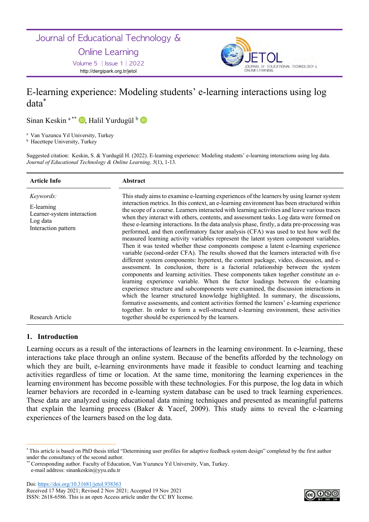Journal of Educational Technology &

**Online Learning** 

Volume 5 | Issue 1 | 2022 http://dergipark.org.tr/jetol



# E-learning experience: Modeling students' e-learning interactions using log data\*

Sinan Keskin<sup>a\*\*</sup> D, Halil Yurdugül <sup>b</sup> D

<sup>a</sup> Van Yuzuncu Yıl University, Turkey

**b** Hacettepe University, Turkey

Suggested citation: Keskin, S. & Yurdugül H. (2022). E-learning experience: Modeling students' e-learning interactions using log data. *Journal of Educational Technology & Online Learning, 5*(1), 1-13.

| <b>Article Info</b>                                                                      | <b>Abstract</b>                                                                                                                                                                                                                                                                                                                                                                                                                                                                                                                                                                                                                                                                                                                                                                                                                                                                                                                                                                                                                                                                                                                                                                                                                                                                                                                                                                                                                                                                                                                                                             |
|------------------------------------------------------------------------------------------|-----------------------------------------------------------------------------------------------------------------------------------------------------------------------------------------------------------------------------------------------------------------------------------------------------------------------------------------------------------------------------------------------------------------------------------------------------------------------------------------------------------------------------------------------------------------------------------------------------------------------------------------------------------------------------------------------------------------------------------------------------------------------------------------------------------------------------------------------------------------------------------------------------------------------------------------------------------------------------------------------------------------------------------------------------------------------------------------------------------------------------------------------------------------------------------------------------------------------------------------------------------------------------------------------------------------------------------------------------------------------------------------------------------------------------------------------------------------------------------------------------------------------------------------------------------------------------|
| Keywords:<br>E-learning<br>Learner-system interaction<br>Log data<br>Interaction pattern | This study aims to examine e-learning experiences of the learners by using learner system<br>interaction metrics. In this context, an e-learning environment has been structured within<br>the scope of a course. Learners interacted with learning activities and leave various traces<br>when they interact with others, contents, and assessment tasks. Log data were formed on<br>these e-learning interactions. In the data analysis phase, firstly, a data pre-processing was<br>performed, and then confirmatory factor analysis (CFA) was used to test how well the<br>measured learning activity variables represent the latent system component variables.<br>Then it was tested whether these components compose a latent e-learning experience<br>variable (second-order CFA). The results showed that the learners interacted with five<br>different system components: hypertext, the content package, video, discussion, and e-<br>assessment. In conclusion, there is a factorial relationship between the system<br>components and learning activities. These components taken together constitute an e-<br>learning experience variable. When the factor loadings between the e-learning<br>experience structure and subcomponents were examined, the discussion interactions in<br>which the learner structured knowledge highlighted. In summary, the discussions,<br>formative assessments, and content activities formed the learners' e-learning experience<br>together. In order to form a well-structured e-learning environment, these activities |
| Research Article                                                                         | together should be experienced by the learners.                                                                                                                                                                                                                                                                                                                                                                                                                                                                                                                                                                                                                                                                                                                                                                                                                                                                                                                                                                                                                                                                                                                                                                                                                                                                                                                                                                                                                                                                                                                             |

## **1. Introduction**

Learning occurs as a result of the interactions of learners in the learning environment. In e-learning, these interactions take place through an online system. Because of the benefits afforded by the technology on which they are built, e-learning environments have made it feasible to conduct learning and teaching activities regardless of time or location. At the same time, monitoring the learning experiences in the learning environment has become possible with these technologies. For this purpose, the log data in which learner behaviors are recorded in e-learning system database can be used to track learning experiences. These data are analyzed using educational data mining techniques and presented as meaningful patterns that explain the learning process (Baker & Yacef, 2009). This study aims to reveal the e-learning experiences of the learners based on the log data.



<sup>\*</sup> This article is based on PhD thesis titled "Determining user profiles for adaptive feedback system design" completed by the first author under the consultancy of the second author.

<sup>\*\*</sup> Corresponding author. Faculty of Education, Van Yuzuncu Yıl University, Van, Turkey. e-mail address: sinankeskin@yyu.edu.tr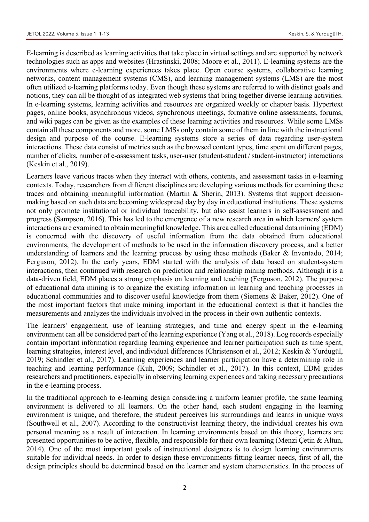E-learning is described as learning activities that take place in virtual settings and are supported by network technologies such as apps and websites (Hrastinski, 2008; Moore et al., 2011). E-learning systems are the environments where e-learning experiences takes place. Open course systems, collaborative learning networks, content management systems (CMS), and learning management systems (LMS) are the most often utilized e-learning platforms today. Even though these systems are referred to with distinct goals and notions, they can all be thought of as integrated web systems that bring together diverse learning activities. In e-learning systems, learning activities and resources are organized weekly or chapter basis. Hypertext pages, online books, asynchronous videos, synchronous meetings, formative online assessments, forums, and wiki pages can be given as the examples of these learning activities and resources. While some LMSs contain all these components and more, some LMSs only contain some of them in line with the instructional design and purpose of the course. E-learning systems store a series of data regarding user-system interactions. These data consist of metrics such as the browsed content types, time spent on different pages, number of clicks, number of e-assessment tasks, user-user (student-student / student-instructor) interactions (Keskin et al., 2019).

Learners leave various traces when they interact with others, contents, and assessment tasks in e-learning contexts. Today, researchers from different disciplines are developing various methods for examining these traces and obtaining meaningful information (Martin & Sherin, 2013). Systems that support decisionmaking based on such data are becoming widespread day by day in educational institutions. These systems not only promote institutional or individual traceability, but also assist learners in self-assessment and progress (Sampson, 2016). This has led to the emergence of a new research area in which learners' system interactions are examined to obtain meaningful knowledge. This area called educational data mining (EDM) is concerned with the discovery of useful information from the data obtained from educational environments, the development of methods to be used in the information discovery process, and a better understanding of learners and the learning process by using these methods (Baker & Inventado, 2014; Ferguson, 2012). In the early years, EDM started with the analysis of data based on student-system interactions, then continued with research on prediction and relationship mining methods. Although it is a data-driven field, EDM places a strong emphasis on learning and teaching (Ferguson, 2012). The purpose of educational data mining is to organize the existing information in learning and teaching processes in educational communities and to discover useful knowledge from them (Siemens & Baker, 2012). One of the most important factors that make mining important in the educational context is that it handles the measurements and analyzes the individuals involved in the process in their own authentic contexts.

The learners' engagement, use of learning strategies, and time and energy spent in the e-learning environment can all be considered part of the learning experience (Yang et al., 2018). Log records especially contain important information regarding learning experience and learner participation such as time spent, learning strategies, interest level, and individual differences (Christenson et al., 2012; Keskin & Yurdugül, 2019; Schindler et al., 2017). Learning experiences and learner participation have a determining role in teaching and learning performance (Kuh, 2009; Schindler et al., 2017). In this context, EDM guides researchers and practitioners, especially in observing learning experiences and taking necessary precautions in the e-learning process.

In the traditional approach to e-learning design considering a uniform learner profile, the same learning environment is delivered to all learners. On the other hand, each student engaging in the learning environment is unique, and therefore, the student perceives his surroundings and learns in unique ways (Southwell et al., 2007). According to the constructivist learning theory, the individual creates his own personal meaning as a result of interaction. In learning environments based on this theory, learners are presented opportunities to be active, flexible, and responsible for their own learning (Menzi Çetin & Altun, 2014). One of the most important goals of instructional designers is to design learning environments suitable for individual needs. In order to design these environments fitting learner needs, first of all, the design principles should be determined based on the learner and system characteristics. In the process of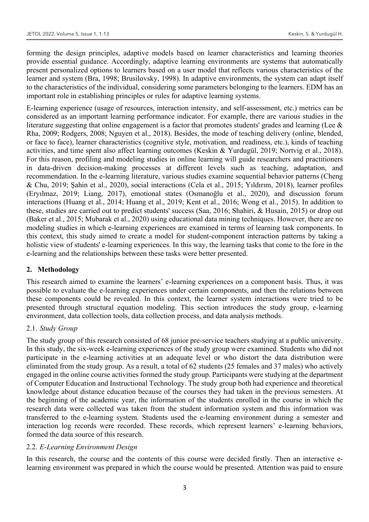forming the design principles, adaptive models based on learner characteristics and learning theories provide essential guidance. Accordingly, adaptive learning environments are systems that automatically present personalized options to learners based on a user model that reflects various characteristics of the learner and system (Bra, 1998; Brusilovsky, 1998). In adaptive environments, the system can adapt itself to the characteristics of the individual, considering some parameters belonging to the learners. EDM has an important role in establishing principles or rules for adaptive learning systems.

E-learning experience (usage of resources, interaction intensity, and self-assessment, etc.) metrics can be considered as an important learning performance indicator. For example, there are various studies in the literature suggesting that online engagement is a factor that promotes students' grades and learning (Lee & Rha, 2009; Rodgers, 2008; Nguyen et al., 2018). Besides, the mode of teaching delivery (online, blended, or face to face), learner characteristics (cognitive style, motivation, and readiness, etc.), kinds of teaching activities, and time spent also affect learning outcomes (Keskin & Yurdugül, 2019; Nortvig et al., 2018). For this reason, profiling and modeling studies in online learning will guide researchers and practitioners in data-driven decision-making processes at different levels such as teaching, adaptation, and recommendation. In the e-learning literature, various studies examine sequential behavior patterns (Cheng & Chu, 2019; Şahin et al., 2020), social interactions (Cela et al., 2015; Yıldırım, 2018), learner profiles (Eryılmaz, 2019; Liang, 2017), emotional states (Osmanoğlu et al., 2020), and discussion forum interactions (Huang et al., 2014; Huang et al., 2019; Kent et al., 2016; Wong et al., 2015). In addition to these, studies are carried out to predict students' success (Saa, 2016; Shahiri, & Husain, 2015) or drop out (Baker et al., 2015; Mubarak et al., 2020) using educational data mining techniques. However, there are no modeling studies in which e-learning experiences are examined in terms of learning task components. In this context, this study aimed to create a model for student-component interaction patterns by taking a holistic view of students' e-learning experiences. In this way, the learning tasks that come to the fore in the e-learning and the relationships between these tasks were better presented.

# **2. Methodology**

This research aimed to examine the learners' e-learning experiences on a component basis. Thus, it was possible to evaluate the e-learning experiences under certain components, and then the relations between these components could be revealed. In this context, the learner system interactions were tried to be presented through structural equation modeling. This section introduces the study group, e-learning environment, data collection tools, data collection process, and data analysis methods.

## 2.1. *Study Group*

The study group of this research consisted of 68 junior pre-service teachers studying at a public university. In this study, the six-week e-learning experiences of the study group were examined. Students who did not participate in the e-learning activities at an adequate level or who distort the data distribution were eliminated from the study group. As a result, a total of 62 students (25 females and 37 males) who actively engaged in the online course activities formed the study group. Participants were studying at the department of Computer Education and Instructional Technology. The study group both had experience and theoretical knowledge about distance education because of the courses they had taken in the previous semesters. At the beginning of the academic year, the information of the students enrolled in the course in which the research data were collected was taken from the student information system and this information was transferred to the e-learning system. Students used the e-learning environment during a semester and interaction log records were recorded. These records, which represent learners' e-learning behaviors, formed the data source of this research.

# 2.2. *E-Learning Environment Design*

In this research, the course and the contents of this course were decided firstly. Then an interactive elearning environment was prepared in which the course would be presented. Attention was paid to ensure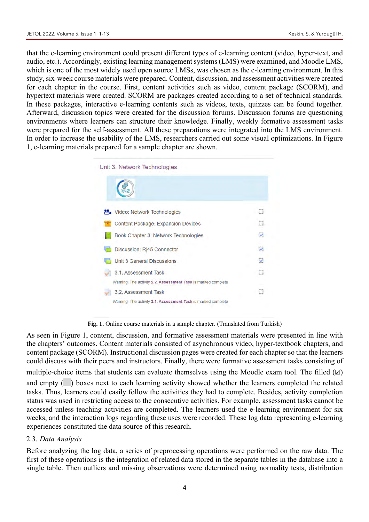that the e-learning environment could present different types of e-learning content (video, hyper-text, and audio, etc.). Accordingly, existing learning management systems (LMS) were examined, and Moodle LMS, which is one of the most widely used open source LMSs, was chosen as the e-learning environment. In this study, six-week course materials were prepared. Content, discussion, and assessment activities were created for each chapter in the course. First, content activities such as video, content package (SCORM), and hypertext materials were created. SCORM are packages created according to a set of technical standards. In these packages, interactive e-learning contents such as videos, texts, quizzes can be found together. Afterward, discussion topics were created for the discussion forums. Discussion forums are questioning environments where learners can structure their knowledge. Finally, weekly formative assessment tasks were prepared for the self-assessment. All these preparations were integrated into the LMS environment. In order to increase the usability of the LMS, researchers carried out some visual optimizations. In Figure 1, e-learning materials prepared for a sample chapter are shown.



**Fig. 1.** Online course materials in a sample chapter. (Translated from Turkish)

As seen in Figure 1, content, discussion, and formative assessment materials were presented in line with the chapters' outcomes. Content materials consisted of asynchronous video, hyper-textbook chapters, and content package (SCORM). Instructional discussion pages were created for each chapter so that the learners could discuss with their peers and instructors. Finally, there were formative assessment tasks consisting of multiple-choice items that students can evaluate themselves using the Moodle exam tool. The filled  $(\mathbb{Z})$ and empty ( $\Box$ ) boxes next to each learning activity showed whether the learners completed the related tasks. Thus, learners could easily follow the activities they had to complete. Besides, activity completion status was used in restricting access to the consecutive activities. For example, assessment tasks cannot be accessed unless teaching activities are completed. The learners used the e-learning environment for six weeks, and the interaction logs regarding these uses were recorded. These log data representing e-learning experiences constituted the data source of this research.

## 2.3. *Data Analysis*

Before analyzing the log data, a series of preprocessing operations were performed on the raw data. The first of these operations is the integration of related data stored in the separate tables in the database into a single table. Then outliers and missing observations were determined using normality tests, distribution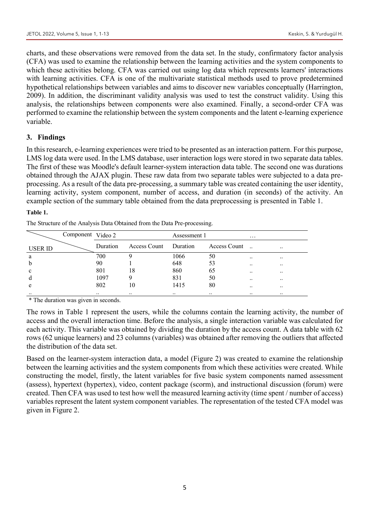charts, and these observations were removed from the data set. In the study, confirmatory factor analysis (CFA) was used to examine the relationship between the learning activities and the system components to which these activities belong. CFA was carried out using log data which represents learners' interactions with learning activities. CFA is one of the multivariate statistical methods used to prove predetermined hypothetical relationships between variables and aims to discover new variables conceptually (Harrington, 2009). In addition, the discriminant validity analysis was used to test the construct validity. Using this analysis, the relationships between components were also examined. Finally, a second-order CFA was performed to examine the relationship between the system components and the latent e-learning experience variable.

#### **3. Findings**

In this research, e-learning experiences were tried to be presented as an interaction pattern. For this purpose, LMS log data were used. In the LMS database, user interaction logs were stored in two separate data tables. The first of these was Moodle's default learner-system interaction data table. The second one was durations obtained through the AJAX plugin. These raw data from two separate tables were subjected to a data preprocessing. As a result of the data pre-processing, a summary table was created containing the user identity, learning activity, system component, number of access, and duration (in seconds) of the activity. An example section of the summary table obtained from the data preprocessing is presented in Table 1.

#### **Table 1.**

The Structure of the Analysis Data Obtained from the Data Pre-processing.

|                | Component Video 2 |           |                       | Assessment 1 |               | $\cdots$      |                      |
|----------------|-------------------|-----------|-----------------------|--------------|---------------|---------------|----------------------|
| <b>USER ID</b> |                   | Duration  | Access Count Duration |              | Access Count  |               |                      |
| a              |                   | 700       |                       | 1066         | 50            | $\ddotsc$     |                      |
| b              |                   | 90        |                       | 648          | 53            | $\ddotsc$     |                      |
| c              |                   | 801       | 18                    | 860          | 65            | $\ddotsc$     | $\ddot{\phantom{0}}$ |
| d              |                   | 1097      |                       | 831          | 50            | $\ddotsc$     |                      |
| e              |                   | 802       | 10                    | 1415         | 80            | $\cdot$ .     |                      |
| $\cdot \cdot$  |                   | $\ddotsc$ | $\ddot{\phantom{0}}$  | $\ddotsc$    | $\cdot \cdot$ | $\cdot \cdot$ | $\ddotsc$            |

\* The duration was given in seconds.

The rows in Table 1 represent the users, while the columns contain the learning activity, the number of access and the overall interaction time. Before the analysis, a single interaction variable was calculated for each activity. This variable was obtained by dividing the duration by the access count. A data table with 62 rows (62 unique learners) and 23 columns (variables) was obtained after removing the outliers that affected the distribution of the data set.

Based on the learner-system interaction data, a model (Figure 2) was created to examine the relationship between the learning activities and the system components from which these activities were created. While constructing the model, firstly, the latent variables for five basic system components named assessment (assess), hypertext (hypertex), video, content package (scorm), and instructional discussion (forum) were created. Then CFA was used to test how well the measured learning activity (time spent / number of access) variables represent the latent system component variables. The representation of the tested CFA model was given in Figure 2.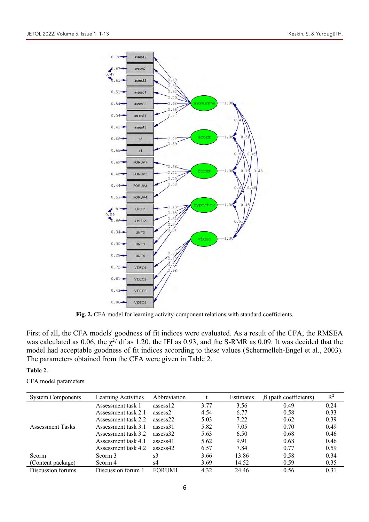

**Fig. 2.** CFA model for learning activity-component relations with standard coefficients.

First of all, the CFA models' goodness of fit indices were evaluated. As a result of the CFA, the RMSEA was calculated as 0.06, the  $\chi^2$  df as 1.20, the IFI as 0.93, and the S-RMR as 0.09. It was decided that the model had acceptable goodness of fit indices according to these values (Schermelleh-Engel et al., 2003). The parameters obtained from the CFA were given in Table 2.

#### **Table 2.**

CFA model parameters.

| <b>System Components</b> | Learning Activities | Abbreviation |      | Estimates | $\beta$ (path coefficients) | $R^2$ |
|--------------------------|---------------------|--------------|------|-----------|-----------------------------|-------|
| <b>Assessment Tasks</b>  | Assessment task 1   | assess12     | 3.77 | 3.56      | 0.49                        | 0.24  |
|                          | Assessment task 2.1 | assess2      | 4.54 | 6.77      | 0.58                        | 0.33  |
|                          | Assessment task 2.2 | assess22     | 5.03 | 7.22      | 0.62                        | 0.39  |
|                          | Assessment task 3.1 | assess31     | 5.82 | 7.05      | 0.70                        | 0.49  |
|                          | Assessment task 3.2 | assess32     | 5.63 | 6.50      | 0.68                        | 0.46  |
|                          | Assessment task 4.1 | assess41     | 5.62 | 9.91      | 0.68                        | 0.46  |
|                          | Assessment task 4.2 | assess42     | 6.57 | 7.84      | 0.77                        | 0.59  |
| Scorm                    | Scorm 3             | s3           | 3.66 | 13.86     | 0.58                        | 0.34  |
| (Content package)        | Scorm 4             | s4           | 3.69 | 14.52     | 0.59                        | 0.35  |
| Discussion forums        | Discussion forum 1  | FORUM1       | 4.32 | 24.46     | 0.56                        | 0.31  |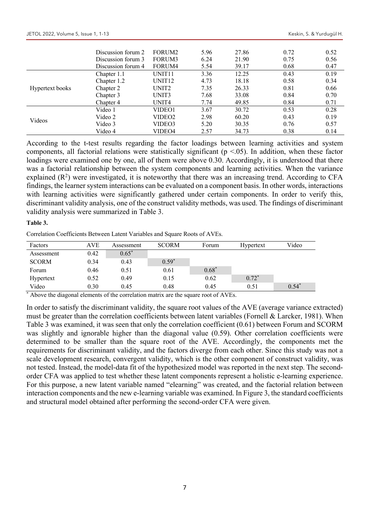|                 | Discussion forum 2 | FORUM <sub>2</sub> | 5.96 | 27.86 | 0.72 | 0.52 |
|-----------------|--------------------|--------------------|------|-------|------|------|
|                 | Discussion forum 3 | FORUM3             | 6.24 | 21.90 | 0.75 | 0.56 |
|                 | Discussion forum 4 | FORUM4             | 5.54 | 39.17 | 0.68 | 0.47 |
| Hypertext books | Chapter 1.1        | UNIT <sub>11</sub> | 3.36 | 12.25 | 0.43 | 0.19 |
|                 | Chapter 1.2        | UNIT <sub>12</sub> | 4.73 | 18.18 | 0.58 | 0.34 |
|                 | Chapter 2          | UNIT <sub>2</sub>  | 7.35 | 26.33 | 0.81 | 0.66 |
|                 | Chapter 3          | UNIT3              | 7.68 | 33.08 | 0.84 | 0.70 |
|                 | Chapter 4          | UNIT <sub>4</sub>  | 7.74 | 49.85 | 0.84 | 0.71 |
| Videos          | Video 1            | VIDEO1             | 3.67 | 30.72 | 0.53 | 0.28 |
|                 | Video 2            | VIDEO2             | 2.98 | 60.20 | 0.43 | 0.19 |
|                 | Video 3            | VIDEO3             | 5.20 | 30.35 | 0.76 | 0.57 |
|                 | Video 4            | VIDEO4             | 2.57 | 34.73 | 0.38 | 0.14 |

According to the t-test results regarding the factor loadings between learning activities and system components, all factorial relations were statistically significant ( $p \le 0.05$ ). In addition, when these factor loadings were examined one by one, all of them were above 0.30. Accordingly, it is understood that there was a factorial relationship between the system components and learning activities. When the variance explained  $(R^2)$  were investigated, it is noteworthy that there was an increasing trend. According to CFA findings, the learner system interactions can be evaluated on a component basis. In other words, interactions with learning activities were significantly gathered under certain components. In order to verify this, discriminant validity analysis, one of the construct validity methods, was used. The findings of discriminant validity analysis were summarized in Table 3.

#### **Table 3.**

Correlation Coefficients Between Latent Variables and Square Roots of AVEs.

| Factors      | AVE  | Assessment | <b>SCORM</b> | Forum   | Hypertext | Video   |
|--------------|------|------------|--------------|---------|-----------|---------|
| Assessment   | 0.42 | $0.65^*$   |              |         |           |         |
| <b>SCORM</b> | 0.34 | 0.43       | $0.59*$      |         |           |         |
| Forum        | 0.46 | 0.51       | 0.61         | $0.68*$ |           |         |
| Hypertext    | 0.52 | 0.49       | 0.15         | 0.62    | $0.72*$   |         |
| Video        | 0.30 | 0.45       | 0.48         | 0.45    | 0.51      | $0.54*$ |

\* Above the diagonal elements of the correlation matrix are the square root of AVEs.

In order to satisfy the discriminant validity, the square root values of the AVE (average variance extracted) must be greater than the correlation coefficients between latent variables (Fornell & Larcker, 1981). When Table 3 was examined, it was seen that only the correlation coefficient (0.61) between Forum and SCORM was slightly and ignorable higher than the diagonal value (0.59). Other correlation coefficients were determined to be smaller than the square root of the AVE. Accordingly, the components met the requirements for discriminant validity, and the factors diverge from each other. Since this study was not a scale development research, convergent validity, which is the other component of construct validity, was not tested. Instead, the model-data fit of the hypothesized model was reported in the next step. The secondorder CFA was applied to test whether these latent components represent a holistic e-learning experience. For this purpose, a new latent variable named "elearning" was created, and the factorial relation between interaction components and the new e-learning variable was examined. In Figure 3, the standard coefficients and structural model obtained after performing the second-order CFA were given.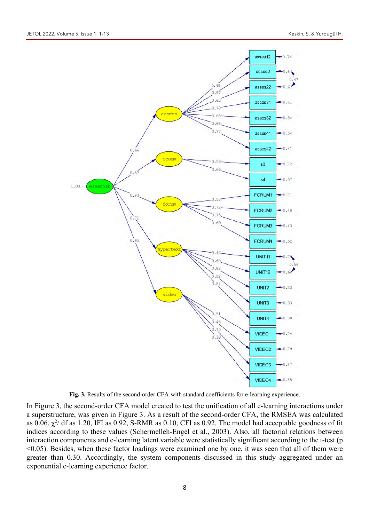

**Fig. 3.** Results of the second-order CFA with standard coefficients for e-learning experience.

In Figure 3, the second-order CFA model created to test the unification of all e-learning interactions under a superstructure, was given in Figure 3. As a result of the second-order CFA, the RMSEA was calculated as  $0.06$ ,  $\chi^2$ / df as 1.20, IFI as 0.92, S-RMR as 0.10, CFI as 0.92. The model had acceptable goodness of fit indices according to these values (Schermelleh-Engel et al., 2003). Also, all factorial relations between interaction components and e-learning latent variable were statistically significant according to the t-test (p <0.05). Besides, when these factor loadings were examined one by one, it was seen that all of them were greater than 0.30. Accordingly, the system components discussed in this study aggregated under an exponential e-learning experience factor.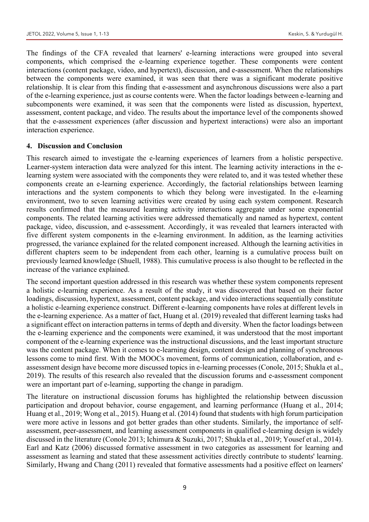The findings of the CFA revealed that learners' e-learning interactions were grouped into several components, which comprised the e-learning experience together. These components were content interactions (content package, video, and hypertext), discussion, and e-assessment. When the relationships between the components were examined, it was seen that there was a significant moderate positive relationship. It is clear from this finding that e-assessment and asynchronous discussions were also a part of the e-learning experience, just as course contents were. When the factor loadings between e-learning and subcomponents were examined, it was seen that the components were listed as discussion, hypertext, assessment, content package, and video. The results about the importance level of the components showed that the e-assessment experiences (after discussion and hypertext interactions) were also an important interaction experience.

#### **4. Discussion and Conclusion**

This research aimed to investigate the e-learning experiences of learners from a holistic perspective. Learner-system interaction data were analyzed for this intent. The learning activity interactions in the elearning system were associated with the components they were related to, and it was tested whether these components create an e-learning experience. Accordingly, the factorial relationships between learning interactions and the system components to which they belong were investigated. In the e-learning environment, two to seven learning activities were created by using each system component. Research results confirmed that the measured learning activity interactions aggregate under some exponential components. The related learning activities were addressed thematically and named as hypertext, content package, video, discussion, and e-assessment. Accordingly, it was revealed that learners interacted with five different system components in the e-learning environment. In addition, as the learning activities progressed, the variance explained for the related component increased. Although the learning activities in different chapters seem to be independent from each other, learning is a cumulative process built on previously learned knowledge (Shuell, 1988). This cumulative process is also thought to be reflected in the increase of the variance explained.

The second important question addressed in this research was whether these system components represent a holistic e-learning experience. As a result of the study, it was discovered that based on their factor loadings, discussion, hypertext, assessment, content package, and video interactions sequentially constitute a holistic e-learning experience construct. Different e-learning components have roles at different levels in the e-learning experience. As a matter of fact, Huang et al. (2019) revealed that different learning tasks had a significant effect on interaction patterns in terms of depth and diversity. When the factor loadings between the e-learning experience and the components were examined, it was understood that the most important component of the e-learning experience was the instructional discussions, and the least important structure was the content package. When it comes to e-learning design, content design and planning of synchronous lessons come to mind first. With the MOOCs movement, forms of communication, collaboration, and eassessment design have become more discussed topics in e-learning processes (Conole, 2015; Shukla et al., 2019). The results of this research also revealed that the discussion forums and e-assessment component were an important part of e-learning, supporting the change in paradigm.

The literature on instructional discussion forums has highlighted the relationship between discussion participation and dropout behavior, course engagement, and learning performance (Huang et al., 2014; Huang et al., 2019; Wong et al., 2015). Huang et al. (2014) found that students with high forum participation were more active in lessons and got better grades than other students. Similarly, the importance of selfassessment, peer-assessment, and learning assessment components in qualified e-learning design is widely discussed in the literature (Conole 2013; Ichimura & Suzuki, 2017; Shukla et al., 2019; Yousef et al., 2014). Earl and Katz (2006) discussed formative assessment in two categories as assessment for learning and assessment as learning and stated that these assessment activities directly contribute to students' learning. Similarly, Hwang and Chang (2011) revealed that formative assessments had a positive effect on learners'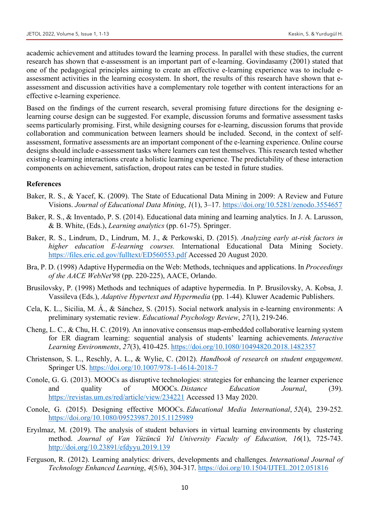academic achievement and attitudes toward the learning process. In parallel with these studies, the current research has shown that e-assessment is an important part of e-learning. Govindasamy (2001) stated that one of the pedagogical principles aiming to create an effective e-learning experience was to include eassessment activities in the learning ecosystem. In short, the results of this research have shown that eassessment and discussion activities have a complementary role together with content interactions for an effective e-learning experience.

Based on the findings of the current research, several promising future directions for the designing elearning course design can be suggested. For example, discussion forums and formative assessment tasks seems particularly promising. First, while designing courses for e-learning, discussion forums that provide collaboration and communication between learners should be included. Second, in the context of selfassessment, formative assessments are an important component of the e-learning experience. Online course designs should include e-assessment tasks where learners can test themselves. This research tested whether existing e-learning interactions create a holistic learning experience. The predictability of these interaction components on achievement, satisfaction, dropout rates can be tested in future studies.

#### **References**

- Baker, R. S., & Yacef, K. (2009). The State of Educational Data Mining in 2009: A Review and Future Visions. *Journal of Educational Data Mining*, *1*(1), 3–17. https://doi.org/10.5281/zenodo.3554657
- Baker, R. S., & Inventado, P. S. (2014). Educational data mining and learning analytics. In J. A. Larusson, & B. White, (Eds.), *Learning analytics* (pp. 61-75). Springer.
- Baker, R. S., Lindrum, D., Lindrum, M. J., & Perkowski, D. (2015). *Analyzing early at-risk factors in higher education E-learning courses.* International Educational Data Mining Society. https://files.eric.ed.gov/fulltext/ED560553.pdf Accessed 20 August 2020.
- Bra, P. D. (1998) Adaptive Hypermedia on the Web: Methods, techniques and applications. In *Proceedings of the AACE WebNet'98* (pp. 220-225), AACE, Orlando.
- Brusilovsky, P. (1998) Methods and techniques of adaptive hypermedia. In P. Brusilovsky, A. Kobsa, J. Vassileva (Eds.), *Adaptive Hypertext and Hypermedia* (pp. 1-44). Kluwer Academic Publishers.
- Cela, K. L., Sicilia, M. Á., & Sánchez, S. (2015). Social network analysis in e-learning environments: A preliminary systematic review. *Educational Psychology Review*, *27*(1), 219-246.
- Cheng, L. C., & Chu, H. C. (2019). An innovative consensus map-embedded collaborative learning system for ER diagram learning: sequential analysis of students' learning achievements. *Interactive Learning Environments*, *27*(3), 410-425. https://doi.org/10.1080/10494820.2018.1482357
- Christenson, S. L., Reschly, A. L., & Wylie, C. (2012). *Handbook of research on student engagement*. Springer US. https://doi.org/10.1007/978-1-4614-2018-7
- Conole, G. G. (2013). MOOCs as disruptive technologies: strategies for enhancing the learner experience and quality of MOOCs. *Distance Education Journal*, (39). https://revistas.um.es/red/article/view/234221 Accessed 13 May 2020.
- Conole, G. (2015). Designing effective MOOCs. *Educational Media International*, *52*(4), 239-252. https://doi.org/10.1080/09523987.2015.1125989
- Eryılmaz, M. (2019). The analysis of student behaviors in virtual learning environments by clustering method. *Journal of Van Yüzüncü Yıl University Faculty of Education, 16*(1), 725-743. http://doi.org/10.23891/efdyyu.2019.139
- Ferguson, R. (2012). Learning analytics: drivers, developments and challenges. *International Journal of Technology Enhanced Learning*, *4*(5/6), 304-317. https://doi.org/10.1504/IJTEL.2012.051816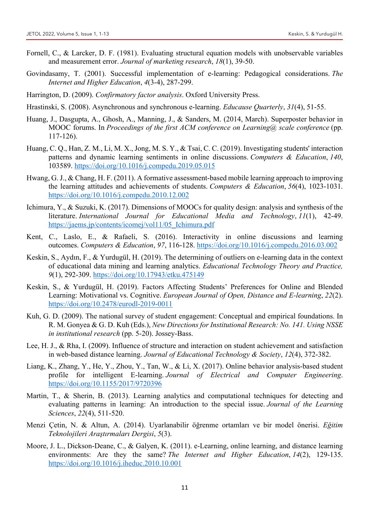- Fornell, C., & Larcker, D. F. (1981). Evaluating structural equation models with unobservable variables and measurement error. *Journal of marketing research*, *18*(1), 39-50.
- Govindasamy, T. (2001). Successful implementation of e-learning: Pedagogical considerations. *The Internet and Higher Education*, *4*(3-4), 287-299.
- Harrington, D. (2009). *Confirmatory factor analysis*. Oxford University Press.
- Hrastinski, S. (2008). Asynchronous and synchronous e-learning. *Educause Quarterly*, *31*(4), 51-55.
- Huang, J., Dasgupta, A., Ghosh, A., Manning, J., & Sanders, M. (2014, March). Superposter behavior in MOOC forums. In *Proceedings of the first ACM conference on Learning@ scale conference* (pp. 117-126).
- Huang, C. Q., Han, Z. M., Li, M. X., Jong, M. S. Y., & Tsai, C. C. (2019). Investigating students' interaction patterns and dynamic learning sentiments in online discussions. *Computers & Education*, *140*, 103589. https://doi.org/10.1016/j.compedu.2019.05.015
- Hwang, G. J., & Chang, H. F. (2011). A formative assessment-based mobile learning approach to improving the learning attitudes and achievements of students. *Computers & Education*, *56*(4), 1023-1031. https://doi.org/10.1016/j.compedu.2010.12.002
- Ichimura, Y., & Suzuki, K. (2017). Dimensions of MOOCs for quality design: analysis and synthesis of the literature. *International Journal for Educational Media and Technology*, *11*(1), 42-49. https://jaems.jp/contents/icomej/vol11/05\_Ichimura.pdf
- Kent, C., Laslo, E., & Rafaeli, S. (2016). Interactivity in online discussions and learning outcomes. *Computers & Education*, *97*, 116-128. https://doi.org/10.1016/j.compedu.2016.03.002
- Keskin, S., Aydın, F., & Yurdugül, H. (2019). The determining of outliers on e-learning data in the context of educational data mining and learning analytics. *Educational Technology Theory and Practice, 9*(1), 292-309. https://doi.org/10.17943/etku.475149
- Keskin, S., & Yurdugül, H. (2019). Factors Affecting Students' Preferences for Online and Blended Learning: Motivational vs. Cognitive. *European Journal of Open, Distance and E-learning*, *22*(2). https://doi.org/10.2478/eurodl-2019-0011
- Kuh, G. D. (2009). The national survey of student engagement: Conceptual and empirical foundations. In R. M. Gonyea & G. D. Kuh (Eds.), *New Directions for Institutional Research: No. 141. Using NSSE in institutional research* (pp. 5-20). Jossey-Bass.
- Lee, H. J., & Rha, I. (2009). Influence of structure and interaction on student achievement and satisfaction in web-based distance learning. *Journal of Educational Technology & Society*, *12*(4), 372-382.
- Liang, K., Zhang, Y., He, Y., Zhou, Y., Tan, W., & Li, X. (2017). Online behavior analysis-based student profile for intelligent E-learning. *Journal of Electrical and Computer Engineering*. https://doi.org/10.1155/2017/9720396
- Martin, T., & Sherin, B. (2013). Learning analytics and computational techniques for detecting and evaluating patterns in learning: An introduction to the special issue. *Journal of the Learning Sciences*, *22*(4), 511-520.
- Menzi Çetin, N. & Altun, A. (2014). Uyarlanabilir öğrenme ortamları ve bir model önerisi. *Eğitim Teknolojileri Araştırmaları Dergisi*, *5*(3).
- Moore, J. L., Dickson-Deane, C., & Galyen, K. (2011). e-Learning, online learning, and distance learning environments: Are they the same? *The Internet and Higher Education*, *14*(2), 129-135. https://doi.org/10.1016/j.iheduc.2010.10.001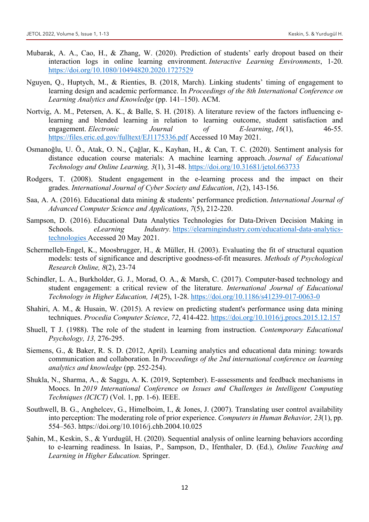- Mubarak, A. A., Cao, H., & Zhang, W. (2020). Prediction of students' early dropout based on their interaction logs in online learning environment. *Interactive Learning Environments*, 1-20. https://doi.org/10.1080/10494820.2020.1727529
- Nguyen, Q., Huptych, M., & Rienties, B. (2018, March). Linking students' timing of engagement to learning design and academic performance. In *Proceedings of the 8th International Conference on Learning Analytics and Knowledge* (pp. 141–150). ACM.
- Nortvig, A. M., Petersen, A. K., & Balle, S. H. (2018). A literature review of the factors influencing elearning and blended learning in relation to learning outcome, student satisfaction and engagement. *Electronic Journal of E-learning*, 16(1), 46-55. https://files.eric.ed.gov/fulltext/EJ1175336.pdf Accessed 10 May 2021.
- Osmanoğlu, U. Ö., Atak, O. N., Çağlar, K., Kayhan, H., & Can, T. C. (2020). Sentiment analysis for distance education course materials: A machine learning approach. *Journal of Educational Technology and Online Learning, 3*(1), 31-48. https://doi.org/10.31681/jetol.663733
- Rodgers, T. (2008). Student engagement in the e-learning process and the impact on their grades. *International Journal of Cyber Society and Education*, *1*(2), 143-156.
- Saa, A. A. (2016). Educational data mining & students' performance prediction. *International Journal of Advanced Computer Science and Applications*, *7*(5), 212-220.
- Sampson, D. (2016). Educational Data Analytics Technologies for Data-Driven Decision Making in Schools. *eLearning Industry.* https://elearningindustry.com/educational-data-analyticstechnologies Accessed 20 May 2021.
- Schermelleh-Engel, K., Moosbrugger, H., & Müller, H. (2003). Evaluating the fit of structural equation models: tests of significance and descriptive goodness-of-fit measures. *Methods of Psychological Research Online, 8*(2), 23-74
- Schindler, L. A., Burkholder, G. J., Morad, O. A., & Marsh, C. (2017). Computer-based technology and student engagement: a critical review of the literature. *International Journal of Educational Technology in Higher Education, 14*(25), 1-28. https://doi.org/10.1186/s41239-017-0063-0
- Shahiri, A. M., & Husain, W. (2015). A review on predicting student's performance using data mining techniques. *Procedia Computer Science*, *72*, 414-422. https://doi.org/10.1016/j.procs.2015.12.157
- Shuell, T J. (1988). The role of the student in learning from instruction. *Contemporary Educational Psychology, 13,* 276-295.
- Siemens, G., & Baker, R. S. D. (2012, April). Learning analytics and educational data mining: towards communication and collaboration. In *Proceedings of the 2nd international conference on learning analytics and knowledge* (pp. 252-254).
- Shukla, N., Sharma, A., & Saggu, A. K. (2019, September). E-assessments and feedback mechanisms in Moocs. In *2019 International Conference on Issues and Challenges in Intelligent Computing Techniques (ICICT)* (Vol. 1, pp. 1-6). IEEE.
- Southwell, B. G., Anghelcev, G., Himelboim, I., & Jones, J. (2007). Translating user control availability into perception: The moderating role of prior experience. *Computers in Human Behavior, 23*(1), pp. 554–563. https://doi.org/10.1016/j.chb.2004.10.025
- Şahin, M., Keskin, S., & Yurdugül, H. (2020). Sequential analysis of online learning behaviors according to e-learning readiness. In Isaias, P., Sampson, D., Ifenthaler, D. (Ed.), *Online Teaching and Learning in Higher Education.* Springer.